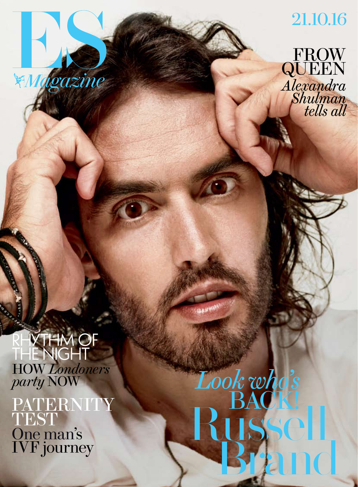

## 21.10.16

FROW QUE *Alexandra Shulman tells all*

**IYTHM OF** the night How *Londoners party* now

PATERNITY TEST One man's IVF journey

Russell, Brand *Look who's* BACK!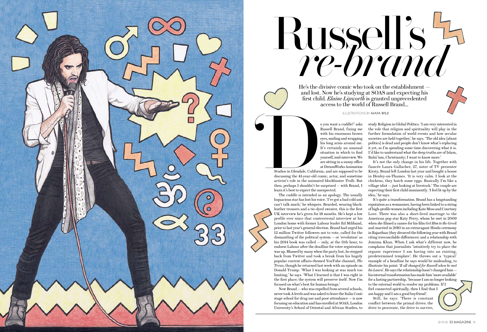illustrations by maya wild

He's the divisive comic who took on the establishment and lost. Now he's studying at SOAS and expecting his first child. *Elaine Lipworth* is granted unprecedented access to the world of Russell Brand...



Studios in Glendale, California, and are supposed to be discussing the 41-year-old comic, actor, and sometime activist's role in the animated blockbuster *Trolls*. But then, perhaps I shouldn't be surprised *—* with Brand, I learn it's best to expect the unexpected. Studios in Glendale, Californ<br>
Studios in Glendale, Californ<br>
discussing the 41-year-old c<br>
activist's role in the animat

o you want a cuddle?' asks Russell Brand, fixing me with his enormous brown eyes, smiling and wrapping his long arms around me. It's certainly an unusual situation in which to find yourself, mid-interview. We are sitting in a sunny office at DreamWorks Animation

The cuddle is intended as an apology. The usually loquacious star has lost his voice. 'I've got a bad cold and can't talk much,' he whispers. Bearded, wearing blackleather trousers and a tie-dyed sweater, this is the first UK interview he's given for 18 months. He's kept a low profile ever since that controversial interview at his London home with former Labour leader Ed Miliband, prior to last year's general election. Brand had urged his 12 million Twitter followers not to vote, called for the dismantling of the political system — or 'revolution' as his 2014 book was called — only, at the 11th hour, to endorse Labour after the deadline for voter registration was up. Blamed by many when the party lost, he stepped back from Twitter and took a break from his hugely popular current affairs-themed YouTube channel, *The Trews*, though he returned last week with an episode on Donald Trump. 'What I was looking at was much too limiting,' he says. 'What I learned is that I was right in the first place; the system will preserve itself. Now I'm focused on what's best for human beings.'

Now Brand — who was expelled from several schools, never took A levels and was asked to leave the Italia Conti stage school for drug use and poor attendance — is now focusing on education and has enrolled at SOAS, London University's School of Oriental and African Studies, to

Russell's *re-brand*

study Religion in Global Politics. 'I am very interested in the role that religion and spirituality will play in the further formulation of world events and how secular societies are held together,' he says. 'The old idea [about politics] is dead and people don't know what's replacing it yet, so I'm spending some time discovering what it is. I'd like to understand what the deep truths are of Islam, Bahá'ísm, Christianity; I want to know more.'

It's not the only change in his life. Together with fiancée Laura Gallacher, 27, sister of TV presenter Kirsty, Brand left London last year and bought a house in Henley-on-Thames. 'It is very calm. I look at the chickens, they hatch some eggs. Basically I'm like a village idiot — just looking at livestock.' The couple are expecting their first child imminently. 'I feel lit up by the idea,' he says.

It's quite a transformation. Brand has a longstanding reputation as a womaniser, having been linked to a string of high-profile women including Kate Moss and Courtney Love. There was also a short-lived marriage to the American pop star Katy Perry, whom he met in 2009 when she filmed a cameo for his film *Get Him to the Greek* and married in 2010 in an extravagant Hindu ceremony in Rajasthan (they divorced the following year with Brand citing irreconcilable differences) and a relationship with Jemima Khan. When I ask what's different now, he complains that journalists 'intuitively try to place the organic experience I am having into an existing, predetermined template'. He throws out a 'typical' example of a headline he says would be misleading, to illustrate his point: '*It all changed for Russell when he met his Laura*'. He says the relationship hasn't changed him his internal transformation has made him 'more available' for a lasting partnership, 'because I am no longer looking to the external world to resolve my problems. If I feel connected spiritually, then I find that I am happy and I am a good boyfriend'.

Still, he says: 'There is constant conflict between the primal drives: the drive to procreate, the drive to survive,